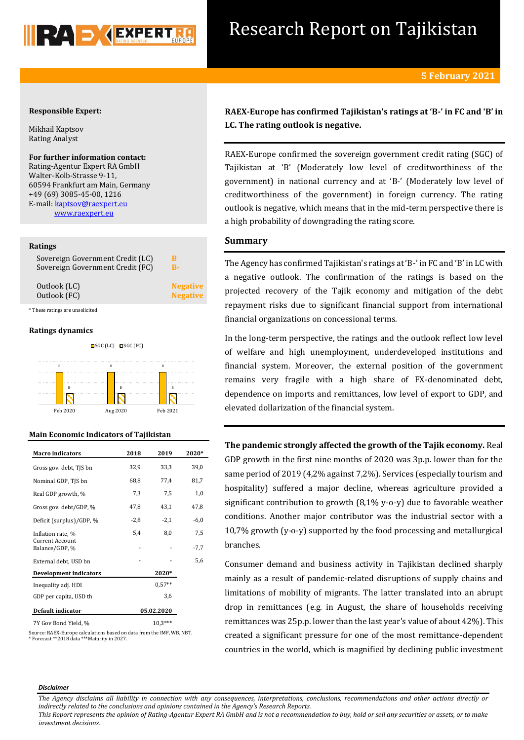

## Research Report on Tajikistan

## **Responsible Expert:**

Mikhail Kaptsov Rating Analyst

**For further information contact:** Rating-Agentur Expert RA GmbH Walter-Kolb-Strasse 9-11, 60594 Frankfurt am Main, Germany +49 (69) 3085-45-00, 1216 E-mail: kaptsov@raexpert.eu [www.raexpert.eu](http://raexpert.eu/)

## **Ratings**

| Sovereign Government Credit (LC) | В               |  |
|----------------------------------|-----------------|--|
| Sovereign Government Credit (FC) | B-              |  |
| Outlook (LC)                     | <b>Negative</b> |  |
| Outlook (FC)                     | <b>Negative</b> |  |
| * These ratings are unsolicited  |                 |  |

#### **Ratings dynamics**



## **Main Economic Indicators of Tajikistan**

| <b>Macro</b> indicators           | 2018       | 2019     | 2020*  |  |
|-----------------------------------|------------|----------|--------|--|
| Gross gov. debt, TJS bn           | 32,9       | 33,3     | 39,0   |  |
| Nominal GDP, TJS bn               | 68,8       | 77,4     | 81,7   |  |
| Real GDP growth, %                | 7,3        | 7,5      | 1,0    |  |
| Gross gov. debt/GDP, %            | 47,8       | 43,1     | 47,8   |  |
| Deficit (surplus)/GDP, %          | $-2,8$     | $-2,1$   | $-6,0$ |  |
| Inflation rate, %                 | 5,4        | 8,0      | 7,5    |  |
| Current Account<br>Balance/GDP, % |            |          | $-7,7$ |  |
| External debt, USD bn             |            |          | 5,6    |  |
| <b>Development indicators</b>     | 2020*      |          |        |  |
| Inequality adj. HDI               |            | $0.57**$ |        |  |
| GDP per capita, USD th            |            | 3,6      |        |  |
| Default indicator                 | 05.02.2020 |          |        |  |
| 7Y Gov Bond Yield, %              |            |          |        |  |

Source: RAEX-Europe calculations based on data from the IMF, WB, NBT. \* Forecast \*\*2018 data \*\*\*Maturity in 2027.

**RAEX-Europe has confirmed Tajikistan's ratings at 'B-' in FC and 'B' in LC. The rating outlook is negative.**

RAEX-Europe confirmed the sovereign government credit rating (SGC) of Tajikistan at 'B' (Moderately low level of creditworthiness of the government) in national currency and at 'B-' (Moderately low level of creditworthiness of the government) in foreign currency. The rating outlook is negative, which means that in the mid-term perspective there is a high probability of downgrading the rating score.

## **Summary**

The Agency has confirmed Tajikistan's ratings at 'B-' in FC and 'B' in LC with a negative outlook. The confirmation of the ratings is based on the projected recovery of the Tajik economy and mitigation of the debt repayment risks due to significant financial support from international financial organizations on concessional terms.

In the long-term perspective, the ratings and the outlook reflect low level of welfare and high unemployment, underdeveloped institutions and financial system. Moreover, the external position of the government remains very fragile with a high share of FX-denominated debt, dependence on imports and remittances, low level of export to GDP, and elevated dollarization of the financial system.

**The pandemic strongly affected the growth of the Tajik economy.** Real GDP growth in the first nine months of 2020 was 3p.p. lower than for the same period of 2019 (4,2% against 7,2%). Services (especially tourism and hospitality) suffered a major decline, whereas agriculture provided a significant contribution to growth (8,1% y-o-y) due to favorable weather conditions. Another major contributor was the industrial sector with a 10,7% growth (y-o-y) supported by the food processing and metallurgical branches.

Consumer demand and business activity in Tajikistan declined sharply mainly as a result of pandemic-related disruptions of supply chains and limitations of mobility of migrants. The latter translated into an abrupt drop in remittances (e.g. in August, the share of households receiving remittances was 25p.p. lower than the last year's value of about 42%). This created a significant pressure for one of the most remittance-dependent countries in the world, which is magnified by declining public investment

#### *Disclaimer*

*The Agency disclaims all liability in connection with any consequences, interpretations, conclusions, recommendations and other actions directly or indirectly related to the conclusions and opinions contained in the Agency's Research Reports.*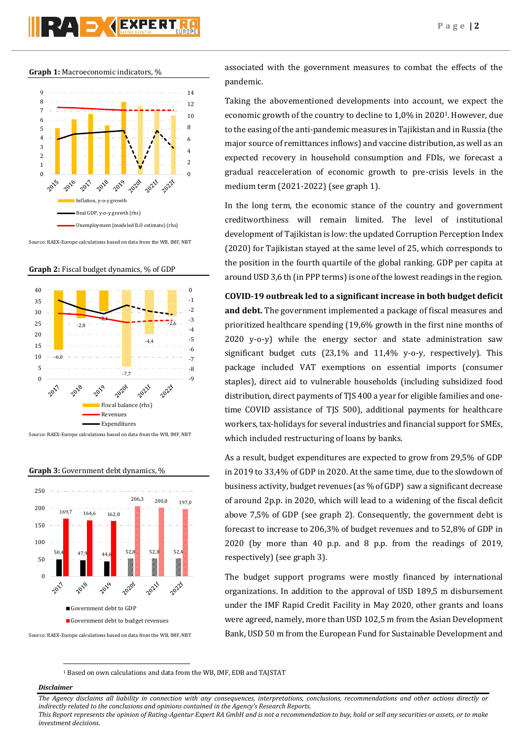**Graph 1:** Macroeconomic indicators, %



Source: RAEX-Europe calculations based on data from the WB, IMF, NBT





Source: RAEX-Europe calculations based on data from the WB, IMF, NBT



#### **Graph 3:** Government debt dynamics, %

Source: RAEX-Europe calculations based on data from the WB, IMF, NBT

associated with the government measures to combat the effects of the pandemic.

Taking the abovementioned developments into account, we expect the economic growth of the country to decline to 1,0% in 20201. However, due to the easing of the anti-pandemic measures in Tajikistan and in Russia (the major source of remittances inflows) and vaccine distribution, as well as an expected recovery in household consumption and FDIs, we forecast a gradual reacceleration of economic growth to pre-crisis levels in the medium term (2021-2022) (see graph 1).

In the long term, the economic stance of the country and government creditworthiness will remain limited. The level of institutional development of Tajikistan is low: the updated Corruption Perception Index (2020) for Tajikistan stayed at the same level of 25, which corresponds to the position in the fourth quartile of the global ranking. GDP per capita at around USD 3,6 th (in PPP terms) is one of the lowest readings in the region.

**COVID-19 outbreak led to a significant increase in both budget deficit and debt.** The government implemented a package of fiscal measures and prioritized healthcare spending (19,6% growth in the first nine months of 2020 y-o-y) while the energy sector and state administration saw significant budget cuts (23,1% and 11,4% y-o-y, respectively). This package included VAT exemptions on essential imports (consumer staples), direct aid to vulnerable households (including subsidized food distribution, direct payments of TJS 400 a year for eligible families and onetime COVID assistance of TJS 500), additional payments for healthcare workers, tax-holidays for several industries and financial support for SMEs, which included restructuring of loans by banks.

As a result, budget expenditures are expected to grow from 29,5% of GDP in 2019 to 33,4% of GDP in 2020. At the same time, due to the slowdown of business activity, budget revenues (as % of GDP) saw a significant decrease of around 2p.p. in 2020, which will lead to a widening of the fiscal deficit above 7,5% of GDP (see graph 2). Consequently, the government debt is forecast to increase to 206,3% of budget revenues and to 52,8% of GDP in 2020 (by more than 40 p.p. and 8 p.p. from the readings of 2019, respectively) (see graph 3).

The budget support programs were mostly financed by international organizations. In addition to the approval of USD 189,5 m disbursement under the IMF Rapid Credit Facility in May 2020, other grants and loans were agreed, namely, more than USD 102,5 m from the Asian Development Bank, USD 50 m from the European Fund for Sustainable Development and

<sup>1</sup> Based on own calculations and data from the WB, IMF, EDB and TAJSTAT

*Disclaimer* 

 $\overline{a}$ 

*The Agency disclaims all liability in connection with any consequences, interpretations, conclusions, recommendations and other actions directly or indirectly related to the conclusions and opinions contained in the Agency's Research Reports.*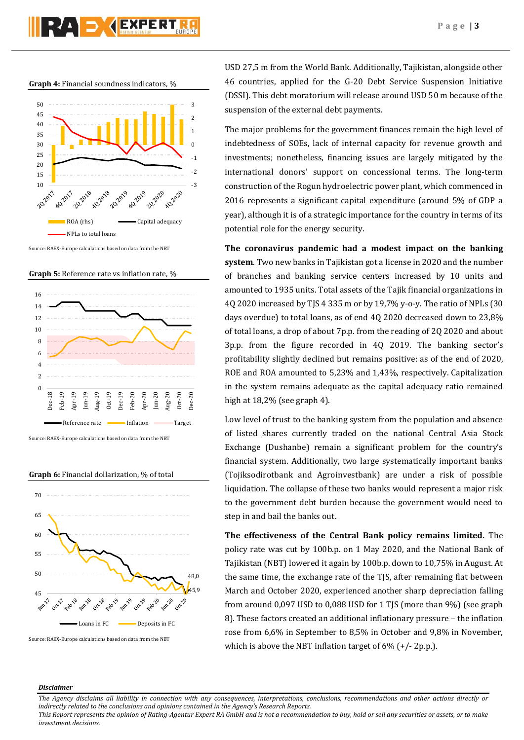

**Graph 4:** Financial soundness indicators, %



Source: RAEX-Europe calculations based on data from the NBT





Source: RAEX-Europe calculations based on data from the NBT

**Graph 6:** Financial dollarization, % of total



Source: RAEX-Europe calculations based on data from the NBT

USD 27,5 m from the World Bank. Additionally, Tajikistan, alongside other 46 countries, applied for the G-20 Debt Service Suspension Initiative (DSSI). This debt moratorium will release around USD 50 m because of the suspension of the external debt payments.

The major problems for the government finances remain the high level of indebtedness of SOEs, lack of internal capacity for revenue growth and investments; nonetheless, financing issues are largely mitigated by the international donors' support on concessional terms. The long-term construction of the Rogun hydroelectric power plant, which commenced in 2016 represents a significant capital expenditure (around 5% of GDP a year), although it is of a strategic importance for the country in terms of its potential role for the energy security.

**The coronavirus pandemic had a modest impact on the banking system**. Two new banks in Tajikistan got a license in 2020 and the number of branches and banking service centers increased by 10 units and amounted to 1935 units. Total assets of the Tajik financial organizations in 4Q 2020 increased by TJS 4 335 m or by 19,7% y-o-y. The ratio of NPLs (30 days overdue) to total loans, as of end 4Q 2020 decreased down to 23,8% of total loans, a drop of about 7p.p. from the reading of 2Q 2020 and about 3p.p. from the figure recorded in 4Q 2019. The banking sector's profitability slightly declined but remains positive: as of the end of 2020, ROE and ROA amounted to 5,23% and 1,43%, respectively. Capitalization in the system remains adequate as the capital adequacy ratio remained high at 18,2% (see graph 4).

Low level of trust to the banking system from the population and absence of listed shares currently traded on the national Central Asia Stock Exchange (Dushanbe) remain a significant problem for the country's financial system. Additionally, two large systematically important banks (Tojiksodirotbank and Agroinvestbank) are under a risk of possible liquidation. The collapse of these two banks would represent a major risk to the government debt burden because the government would need to step in and bail the banks out.

**The effectiveness of the Central Bank policy remains limited.** The policy rate was cut by 100b.p. on 1 May 2020, and the National Bank of Tajikistan (NBT) lowered it again by 100b.p. down to 10,75% in August. At the same time, the exchange rate of the TJS, after remaining flat between March and October 2020, experienced another sharp depreciation falling from around 0,097 USD to 0,088 USD for 1 TJS (more than 9%) (see graph 8). These factors created an additional inflationary pressure – the inflation rose from 6,6% in September to 8,5% in October and 9,8% in November, which is above the NBT inflation target of 6% (+/- 2p.p.).

## *Disclaimer*

*The Agency disclaims all liability in connection with any consequences, interpretations, conclusions, recommendations and other actions directly or indirectly related to the conclusions and opinions contained in the Agency's Research Reports.*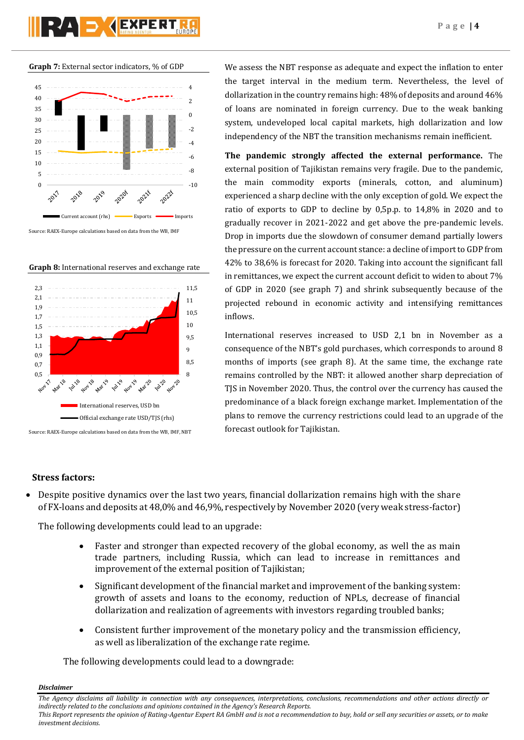# RAD **AEXPERT**





Source: RAEX-Europe calculations based on data from the WB, IMF





Source: RAEX-Europe calculations based on data from the WB, IMF, NBT

We assess the NBT response as adequate and expect the inflation to enter the target interval in the medium term. Nevertheless, the level of dollarization in the country remains high: 48% of deposits and around 46% of loans are nominated in foreign currency. Due to the weak banking system, undeveloped local capital markets, high dollarization and low independency of the NBT the transition mechanisms remain inefficient.

**The pandemic strongly affected the external performance.** The external position of Tajikistan remains very fragile. Due to the pandemic, the main commodity exports (minerals, cotton, and aluminum) experienced a sharp decline with the only exception of gold. We expect the ratio of exports to GDP to decline by 0,5p.p. to 14,8% in 2020 and to gradually recover in 2021-2022 and get above the pre-pandemic levels. Drop in imports due the slowdown of consumer demand partially lowers the pressure on the current account stance: a decline of import to GDP from 42% to 38,6% is forecast for 2020. Taking into account the significant fall in remittances, we expect the current account deficit to widen to about 7% of GDP in 2020 (see graph 7) and shrink subsequently because of the projected rebound in economic activity and intensifying remittances inflows.

International reserves increased to USD 2,1 bn in November as a consequence of the NBT's gold purchases, which corresponds to around 8 months of imports (see graph 8). At the same time, the exchange rate remains controlled by the NBT: it allowed another sharp depreciation of TJS in November 2020. Thus, the control over the currency has caused the predominance of a black foreign exchange market. Implementation of the plans to remove the currency restrictions could lead to an upgrade of the forecast outlook for Tajikistan.

## **Stress factors:**

 Despite positive dynamics over the last two years, financial dollarization remains high with the share of FX-loans and deposits at 48,0% and 46,9%, respectively by November 2020 (very weak stress-factor)

The following developments could lead to an upgrade:

- Faster and stronger than expected recovery of the global economy, as well the as main trade partners, including Russia, which can lead to increase in remittances and improvement of the external position of Tajikistan;
- Significant development of the financial market and improvement of the banking system: growth of assets and loans to the economy, reduction of NPLs, decrease of financial dollarization and realization of agreements with investors regarding troubled banks;
- Consistent further improvement of the monetary policy and the transmission efficiency, as well as liberalization of the exchange rate regime.

The following developments could lead to a downgrade:

*Disclaimer* 

*investment decisions.*

*The Agency disclaims all liability in connection with any consequences, interpretations, conclusions, recommendations and other actions directly or indirectly related to the conclusions and opinions contained in the Agency's Research Reports. This Report represents the opinion of Rating-Agentur Expert RA GmbH and is not a recommendation to buy, hold or sell any securities or assets, or to make*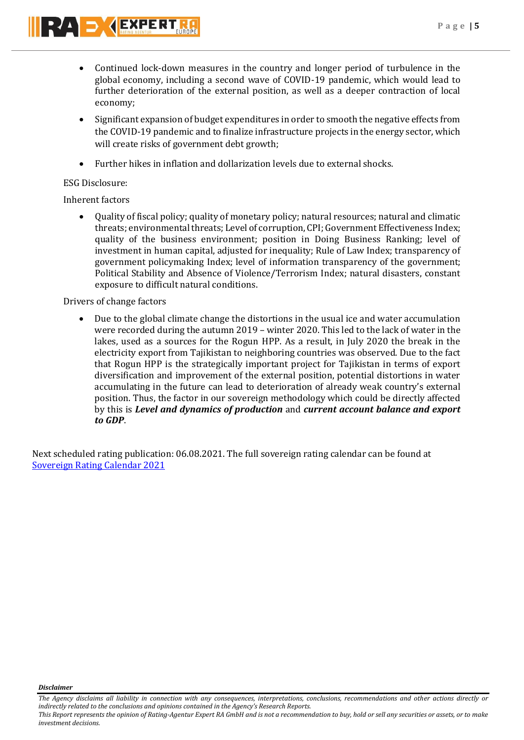**P a g e | 5**



- Continued lock-down measures in the country and longer period of turbulence in the global economy, including a second wave of COVID-19 pandemic, which would lead to further deterioration of the external position, as well as a deeper contraction of local economy;
- Significant expansion of budget expenditures in order to smooth the negative effects from the COVID-19 pandemic and to finalize infrastructure projects in the energy sector, which will create risks of government debt growth;
- Further hikes in inflation and dollarization levels due to external shocks.

## ESG Disclosure:

## Inherent factors

 Quality of fiscal policy; quality of monetary policy; natural resources; natural and climatic threats; environmental threats; Level of corruption, CPI; Government Effectiveness Index; quality of the business environment; position in Doing Business Ranking; level of investment in human capital, adjusted for inequality; Rule of Law Index; transparency of government policymaking Index; level of information transparency of the government; Political Stability and Absence of Violence/Terrorism Index; natural disasters, constant exposure to difficult natural conditions.

## Drivers of change factors

 Due to the global climate change the distortions in the usual ice and water accumulation were recorded during the autumn 2019 – winter 2020. This led to the lack of water in the lakes, used as a sources for the Rogun HPP. As a result, in July 2020 the break in the electricity export from Tajikistan to neighboring countries was observed. Due to the fact that Rogun HPP is the strategically important project for Tajikistan in terms of export diversification and improvement of the external position, potential distortions in water accumulating in the future can lead to deterioration of already weak country's external position. Thus, the factor in our sovereign methodology which could be directly affected by this is *Level and dynamics of production* and *current account balance and export to GDP*.

Next scheduled rating publication: 06.08.2021. The full sovereign rating calendar can be found at [Sovereign Rating Calendar 2021](https://raexpert.eu/sovereign/#conf-tab-5)

*Disclaimer* 

*investment decisions.*

*The Agency disclaims all liability in connection with any consequences, interpretations, conclusions, recommendations and other actions directly or indirectly related to the conclusions and opinions contained in the Agency's Research Reports. This Report represents the opinion of Rating-Agentur Expert RA GmbH and is not a recommendation to buy, hold or sell any securities or assets, or to make*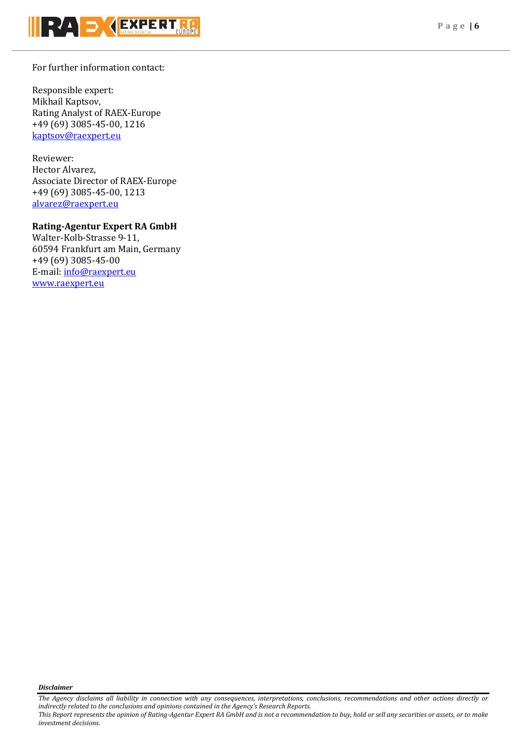

## For further information contact:

Responsible expert: Mikhail Kaptsov, Rating Analyst of RAEX-Europe +49 (69) 3085-45-00, 1216 [kaptsov@raexpert.eu](mailto:kaptsov@raexpert.eu)

Reviewer: Hector Alvarez, Associate Director of RAEX-Europe +49 (69) 3085-45-00, 1213 [alvarez@raexpert.eu](mailto:alvarez@raexpert.eu)

## **Rating-Agentur Expert RA GmbH**

Walter-Kolb-Strasse 9-11, 60594 Frankfurt am Main, Germany +49 (69) 3085-45-00 E-mail[: info@raexpert.eu](mailto:info@raexpert.eu) [www.raexpert.eu](http://raexpert.eu/)

*Disclaimer* 

*investment decisions.*

*The Agency disclaims all liability in connection with any consequences, interpretations, conclusions, recommendations and other actions directly or indirectly related to the conclusions and opinions contained in the Agency's Research Reports. This Report represents the opinion of Rating-Agentur Expert RA GmbH and is not a recommendation to buy, hold or sell any securities or assets, or to make*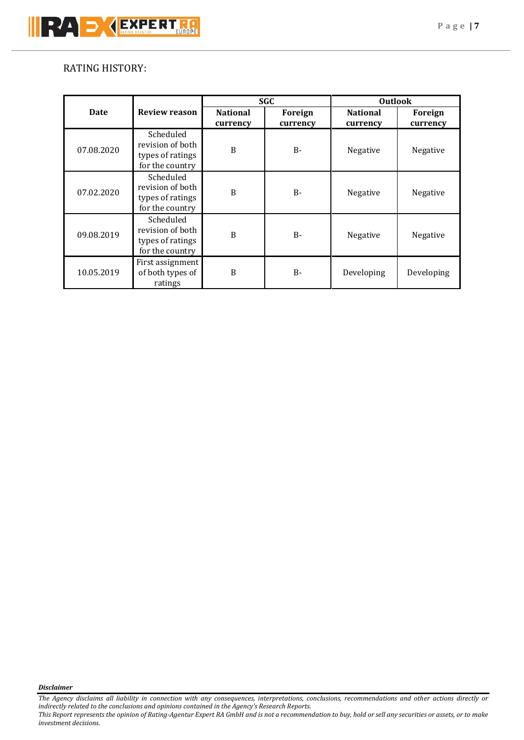## RATING HISTORY:

|            |                                                                      | <b>SGC</b>                  |                     | <b>Outlook</b>              |                     |
|------------|----------------------------------------------------------------------|-----------------------------|---------------------|-----------------------------|---------------------|
| Date       | <b>Review reason</b>                                                 | <b>National</b><br>currency | Foreign<br>currency | <b>National</b><br>currency | Foreign<br>currency |
| 07.08.2020 | Scheduled<br>revision of both<br>types of ratings<br>for the country | B                           | $B -$               | Negative                    | Negative            |
| 07.02.2020 | Scheduled<br>revision of both<br>types of ratings<br>for the country | B                           | $B -$               | Negative                    | Negative            |
| 09.08.2019 | Scheduled<br>revision of both<br>types of ratings<br>for the country | B                           | $B -$               | Negative                    | Negative            |
| 10.05.2019 | First assignment<br>of both types of<br>ratings                      | B                           | $B -$               | Developing                  | Developing          |

*Disclaimer* 

*The Agency disclaims all liability in connection with any consequences, interpretations, conclusions, recommendations and other actions directly or indirectly related to the conclusions and opinions contained in the Agency's Research Reports. This Report represents the opinion of Rating-Agentur Expert RA GmbH and is not a recommendation to buy, hold or sell any securities or assets, or to make investment decisions.*